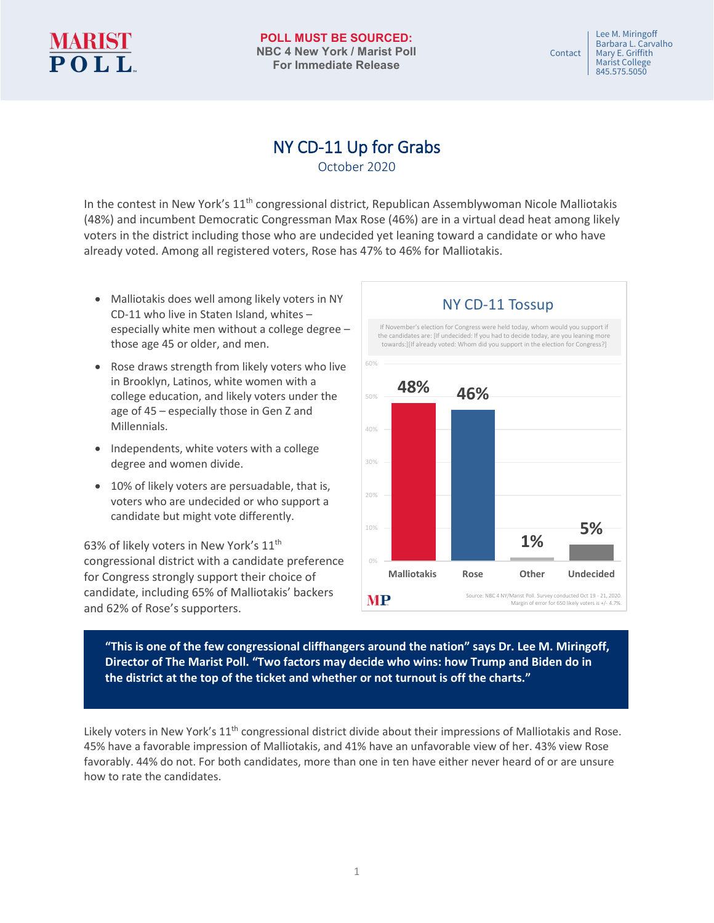# **MARIST<br>POLL**

 Lee M. Miringoff Barbara L. Carvalho<br>Mary E. Griffith Contact Mary E. Griffith Marist College 845.575.5050

## NY CD-11 Up for Grabs

In the contest in New York's 11<sup>th</sup> congressional district, Republican Assemblywoman Nicole Malliotakis (48%) and incumbent Democratic Congressman Max Rose (46%) are in a virtual dead heat among likely voters in the district including those who are undecided yet leaning toward a candidate or who have already voted. Among all registered voters, Rose has 47% to 46% for Malliotakis.

- Malliotakis does well among likely voters in NY CD-11 who live in Staten Island, whites – especially white men without a college degree – those age 45 or older, and men.
- Rose draws strength from likely voters who live in Brooklyn, Latinos, white women with a college education, and likely voters under the age of 45 – especially those in Gen Z and Millennials.
- Independents, white voters with a college degree and women divide.
- 10% of likely voters are persuadable, that is, voters who are undecided or who support a candidate but might vote differently.

63% of likely voters in New York's 11<sup>th</sup> congressional district with a candidate preference for Congress strongly support their choice of candidate, including 65% of Malliotakis' backers and 62% of Rose's supporters.



**"This is one of the few congressional cliffhangers around the nation" says Dr. Lee M. Miringoff, Director of The Marist Poll. "Two factors may decide who wins: how Trump and Biden do in the district at the top of the ticket and whether or not turnout is off the charts."**

Likely voters in New York's 11<sup>th</sup> congressional district divide about their impressions of Malliotakis and Rose. 45% have a favorable impression of Malliotakis, and 41% have an unfavorable view of her. 43% view Rose favorably. 44% do not. For both candidates, more than one in ten have either never heard of or are unsure how to rate the candidates.